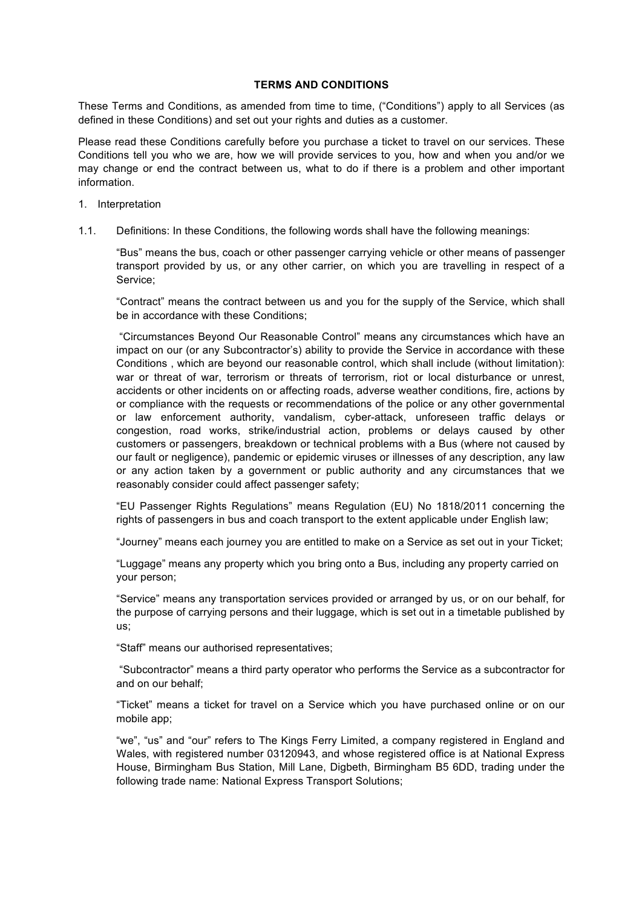### **TERMS AND CONDITIONS**

These Terms and Conditions, as amended from time to time, ("Conditions") apply to all Services (as defined in these Conditions) and set out your rights and duties as a customer.

Please read these Conditions carefully before you purchase a ticket to travel on our services. These Conditions tell you who we are, how we will provide services to you, how and when you and/or we may change or end the contract between us, what to do if there is a problem and other important information.

- 1. Interpretation
- 1.1. Definitions: In these Conditions, the following words shall have the following meanings:

"Bus" means the bus, coach or other passenger carrying vehicle or other means of passenger transport provided by us, or any other carrier, on which you are travelling in respect of a Service;

"Contract" means the contract between us and you for the supply of the Service, which shall be in accordance with these Conditions;

"Circumstances Beyond Our Reasonable Control" means any circumstances which have an impact on our (or any Subcontractor's) ability to provide the Service in accordance with these Conditions , which are beyond our reasonable control, which shall include (without limitation): war or threat of war, terrorism or threats of terrorism, riot or local disturbance or unrest, accidents or other incidents on or affecting roads, adverse weather conditions, fire, actions by or compliance with the requests or recommendations of the police or any other governmental or law enforcement authority, vandalism, cyber-attack, unforeseen traffic delays or congestion, road works, strike/industrial action, problems or delays caused by other customers or passengers, breakdown or technical problems with a Bus (where not caused by our fault or negligence), pandemic or epidemic viruses or illnesses of any description, any law or any action taken by a government or public authority and any circumstances that we reasonably consider could affect passenger safety;

"EU Passenger Rights Regulations" means Regulation (EU) No 1818/2011 concerning the rights of passengers in bus and coach transport to the extent applicable under English law;

"Journey" means each journey you are entitled to make on a Service as set out in your Ticket;

"Luggage" means any property which you bring onto a Bus, including any property carried on your person;

"Service" means any transportation services provided or arranged by us, or on our behalf, for the purpose of carrying persons and their luggage, which is set out in a timetable published by us;

"Staff" means our authorised representatives;

"Subcontractor" means a third party operator who performs the Service as a subcontractor for and on our behalf;

"Ticket" means a ticket for travel on a Service which you have purchased online or on our mobile app;

"we", "us" and "our" refers to The Kings Ferry Limited, a company registered in England and Wales, with registered number 03120943, and whose registered office is at National Express House, Birmingham Bus Station, Mill Lane, Digbeth, Birmingham B5 6DD, trading under the following trade name: National Express Transport Solutions;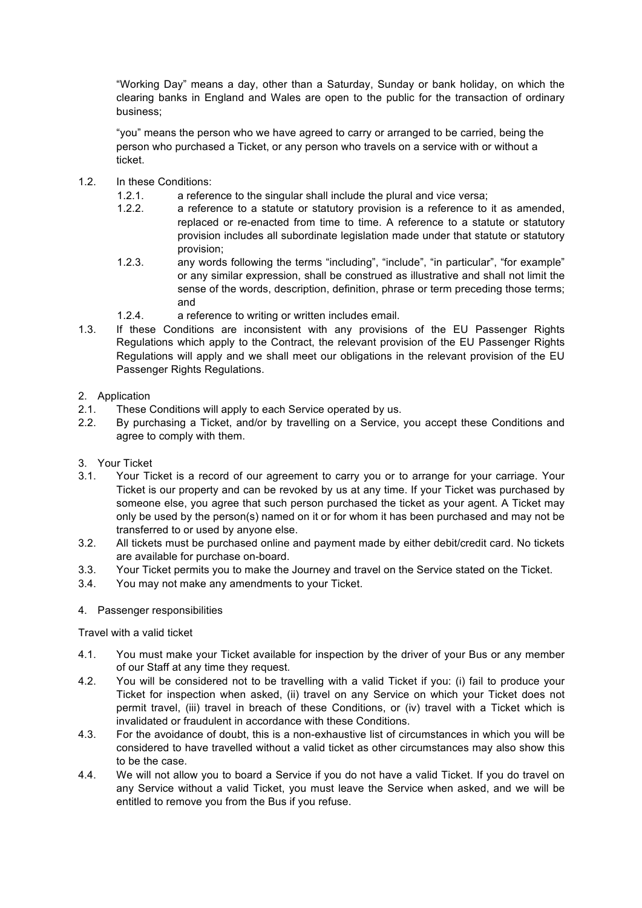"Working Day" means a day, other than a Saturday, Sunday or bank holiday, on which the clearing banks in England and Wales are open to the public for the transaction of ordinary business;

"you" means the person who we have agreed to carry or arranged to be carried, being the person who purchased a Ticket, or any person who travels on a service with or without a ticket.

- 1.2. In these Conditions:
	- 1.2.1. a reference to the singular shall include the plural and vice versa;
	- 1.2.2. a reference to a statute or statutory provision is a reference to it as amended, replaced or re-enacted from time to time. A reference to a statute or statutory provision includes all subordinate legislation made under that statute or statutory provision;
	- 1.2.3. any words following the terms "including", "include", "in particular", "for example" or any similar expression, shall be construed as illustrative and shall not limit the sense of the words, description, definition, phrase or term preceding those terms; and
	- 1.2.4. a reference to writing or written includes email.
- 1.3. If these Conditions are inconsistent with any provisions of the EU Passenger Rights Regulations which apply to the Contract, the relevant provision of the EU Passenger Rights Regulations will apply and we shall meet our obligations in the relevant provision of the EU Passenger Rights Regulations.

# 2. Application

- 2.1. These Conditions will apply to each Service operated by us.
- 2.2. By purchasing a Ticket, and/or by travelling on a Service, you accept these Conditions and agree to comply with them.
- 3. Your Ticket
- 3.1. Your Ticket is a record of our agreement to carry you or to arrange for your carriage. Your Ticket is our property and can be revoked by us at any time. If your Ticket was purchased by someone else, you agree that such person purchased the ticket as your agent. A Ticket may only be used by the person(s) named on it or for whom it has been purchased and may not be transferred to or used by anyone else.
- 3.2. All tickets must be purchased online and payment made by either debit/credit card. No tickets are available for purchase on-board.
- 3.3. Your Ticket permits you to make the Journey and travel on the Service stated on the Ticket.
- 3.4. You may not make any amendments to your Ticket.

## 4. Passenger responsibilities

Travel with a valid ticket

- 4.1. You must make your Ticket available for inspection by the driver of your Bus or any member of our Staff at any time they request.
- 4.2. You will be considered not to be travelling with a valid Ticket if you: (i) fail to produce your Ticket for inspection when asked, (ii) travel on any Service on which your Ticket does not permit travel, (iii) travel in breach of these Conditions, or (iv) travel with a Ticket which is invalidated or fraudulent in accordance with these Conditions.
- 4.3. For the avoidance of doubt, this is a non-exhaustive list of circumstances in which you will be considered to have travelled without a valid ticket as other circumstances may also show this to be the case.
- 4.4. We will not allow you to board a Service if you do not have a valid Ticket. If you do travel on any Service without a valid Ticket, you must leave the Service when asked, and we will be entitled to remove you from the Bus if you refuse.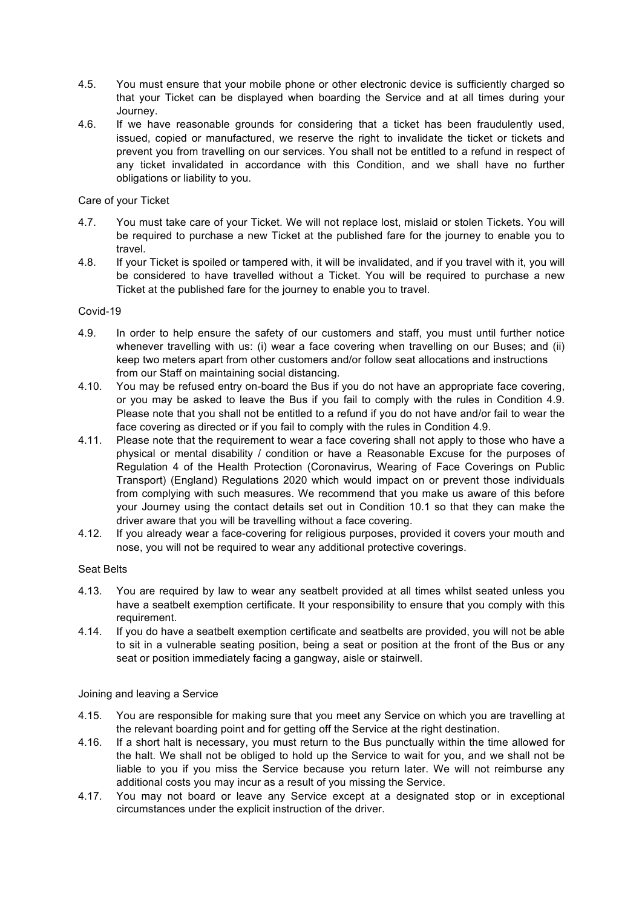- 4.5. You must ensure that your mobile phone or other electronic device is sufficiently charged so that your Ticket can be displayed when boarding the Service and at all times during your Journey.
- 4.6. If we have reasonable grounds for considering that a ticket has been fraudulently used, issued, copied or manufactured, we reserve the right to invalidate the ticket or tickets and prevent you from travelling on our services. You shall not be entitled to a refund in respect of any ticket invalidated in accordance with this Condition, and we shall have no further obligations or liability to you.

# Care of your Ticket

- 4.7. You must take care of your Ticket. We will not replace lost, mislaid or stolen Tickets. You will be required to purchase a new Ticket at the published fare for the journey to enable you to travel.
- 4.8. If your Ticket is spoiled or tampered with, it will be invalidated, and if you travel with it, you will be considered to have travelled without a Ticket. You will be required to purchase a new Ticket at the published fare for the journey to enable you to travel.

# Covid-19

- 4.9. In order to help ensure the safety of our customers and staff, you must until further notice whenever travelling with us: (i) wear a face covering when travelling on our Buses; and (ii) keep two meters apart from other customers and/or follow seat allocations and instructions from our Staff on maintaining social distancing.
- 4.10. You may be refused entry on-board the Bus if you do not have an appropriate face covering, or you may be asked to leave the Bus if you fail to comply with the rules in Condition 4.9. Please note that you shall not be entitled to a refund if you do not have and/or fail to wear the face covering as directed or if you fail to comply with the rules in Condition 4.9.
- 4.11. Please note that the requirement to wear a face covering shall not apply to those who have a physical or mental disability / condition or have a Reasonable Excuse for the purposes of Regulation 4 of the Health Protection (Coronavirus, Wearing of Face Coverings on Public Transport) (England) Regulations 2020 which would impact on or prevent those individuals from complying with such measures. We recommend that you make us aware of this before your Journey using the contact details set out in Condition 10.1 so that they can make the driver aware that you will be travelling without a face covering.
- 4.12. If you already wear a face-covering for religious purposes, provided it covers your mouth and nose, you will not be required to wear any additional protective coverings.

## Seat Belts

- 4.13. You are required by law to wear any seatbelt provided at all times whilst seated unless you have a seatbelt exemption certificate. It your responsibility to ensure that you comply with this requirement.
- 4.14. If you do have a seatbelt exemption certificate and seatbelts are provided, you will not be able to sit in a vulnerable seating position, being a seat or position at the front of the Bus or any seat or position immediately facing a gangway, aisle or stairwell.

## Joining and leaving a Service

- 4.15. You are responsible for making sure that you meet any Service on which you are travelling at the relevant boarding point and for getting off the Service at the right destination.
- 4.16. If a short halt is necessary, you must return to the Bus punctually within the time allowed for the halt. We shall not be obliged to hold up the Service to wait for you, and we shall not be liable to you if you miss the Service because you return later. We will not reimburse any additional costs you may incur as a result of you missing the Service.
- 4.17. You may not board or leave any Service except at a designated stop or in exceptional circumstances under the explicit instruction of the driver.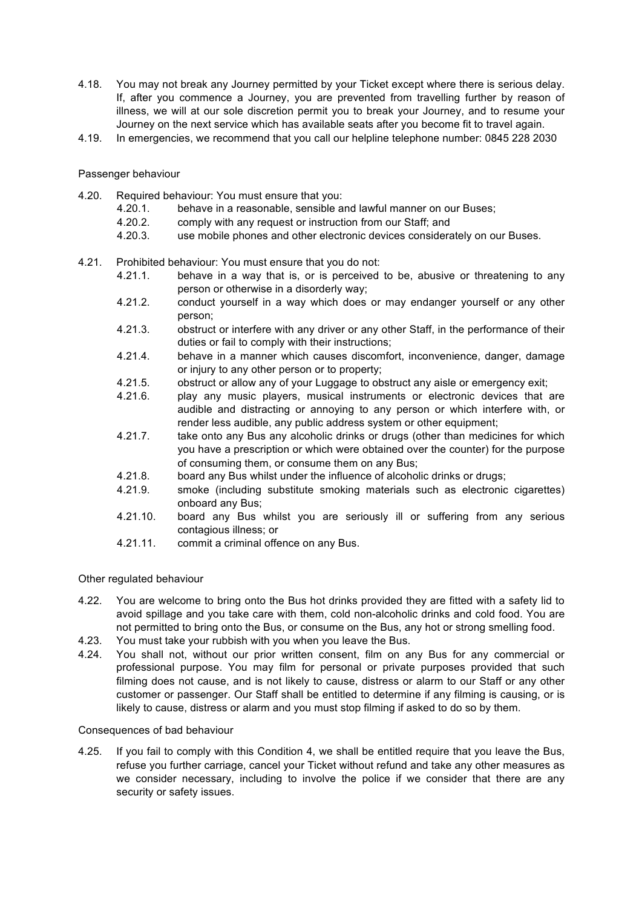- 4.18. You may not break any Journey permitted by your Ticket except where there is serious delay. If, after you commence a Journey, you are prevented from travelling further by reason of illness, we will at our sole discretion permit you to break your Journey, and to resume your Journey on the next service which has available seats after you become fit to travel again.
- 4.19. In emergencies, we recommend that you call our helpline telephone number: 0845 228 2030

### Passenger behaviour

- 4.20. Required behaviour: You must ensure that you:
	- 4.20.1. behave in a reasonable, sensible and lawful manner on our Buses;
	- 4.20.2. comply with any request or instruction from our Staff; and
	- 4.20.3. use mobile phones and other electronic devices considerately on our Buses.
- 4.21. Prohibited behaviour: You must ensure that you do not:
	- 4.21.1. behave in a way that is, or is perceived to be, abusive or threatening to any person or otherwise in a disorderly way;
	- 4.21.2. conduct yourself in a way which does or may endanger yourself or any other person;
	- 4.21.3. obstruct or interfere with any driver or any other Staff, in the performance of their duties or fail to comply with their instructions;
	- 4.21.4. behave in a manner which causes discomfort, inconvenience, danger, damage or injury to any other person or to property;
	- 4.21.5. obstruct or allow any of your Luggage to obstruct any aisle or emergency exit;
	- 4.21.6. play any music players, musical instruments or electronic devices that are audible and distracting or annoying to any person or which interfere with, or render less audible, any public address system or other equipment;
	- 4.21.7. take onto any Bus any alcoholic drinks or drugs (other than medicines for which you have a prescription or which were obtained over the counter) for the purpose of consuming them, or consume them on any Bus;
	- 4.21.8. board any Bus whilst under the influence of alcoholic drinks or drugs;
	- 4.21.9. smoke (including substitute smoking materials such as electronic cigarettes) onboard any Bus;
	- 4.21.10. board any Bus whilst you are seriously ill or suffering from any serious contagious illness; or
	- 4.21.11. commit a criminal offence on any Bus.

#### Other regulated behaviour

- 4.22. You are welcome to bring onto the Bus hot drinks provided they are fitted with a safety lid to avoid spillage and you take care with them, cold non-alcoholic drinks and cold food. You are not permitted to bring onto the Bus, or consume on the Bus, any hot or strong smelling food.
- 4.23. You must take your rubbish with you when you leave the Bus.
- 4.24. You shall not, without our prior written consent, film on any Bus for any commercial or professional purpose. You may film for personal or private purposes provided that such filming does not cause, and is not likely to cause, distress or alarm to our Staff or any other customer or passenger. Our Staff shall be entitled to determine if any filming is causing, or is likely to cause, distress or alarm and you must stop filming if asked to do so by them.

#### Consequences of bad behaviour

4.25. If you fail to comply with this Condition 4, we shall be entitled require that you leave the Bus, refuse you further carriage, cancel your Ticket without refund and take any other measures as we consider necessary, including to involve the police if we consider that there are any security or safety issues.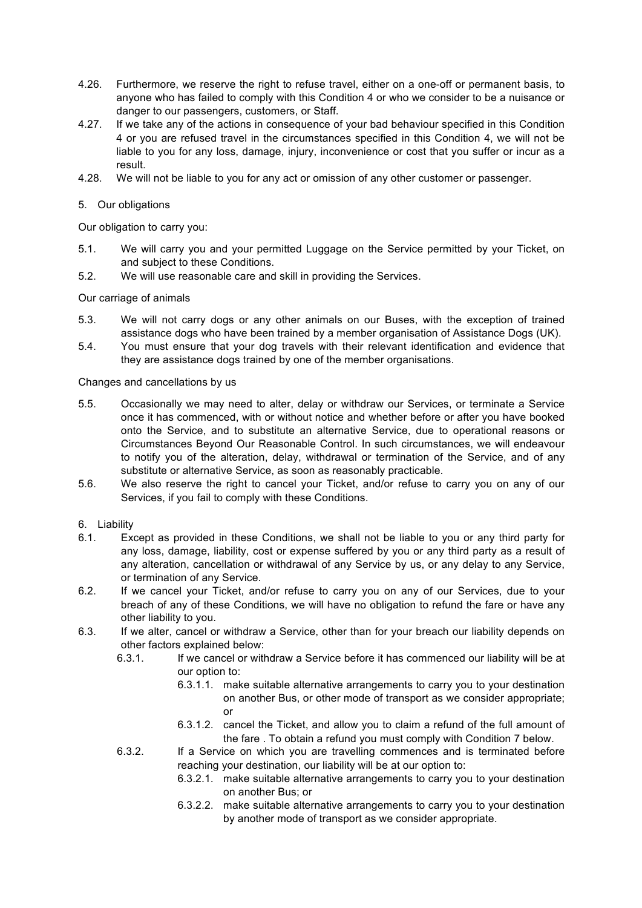- 4.26. Furthermore, we reserve the right to refuse travel, either on a one-off or permanent basis, to anyone who has failed to comply with this Condition 4 or who we consider to be a nuisance or danger to our passengers, customers, or Staff.
- 4.27. If we take any of the actions in consequence of your bad behaviour specified in this Condition 4 or you are refused travel in the circumstances specified in this Condition 4, we will not be liable to you for any loss, damage, injury, inconvenience or cost that you suffer or incur as a result.
- 4.28. We will not be liable to you for any act or omission of any other customer or passenger.

### 5. Our obligations

Our obligation to carry you:

- 5.1. We will carry you and your permitted Luggage on the Service permitted by your Ticket, on and subject to these Conditions.
- 5.2. We will use reasonable care and skill in providing the Services.

### Our carriage of animals

- 5.3. We will not carry dogs or any other animals on our Buses, with the exception of trained assistance dogs who have been trained by a member organisation of Assistance Dogs (UK).
- 5.4. You must ensure that your dog travels with their relevant identification and evidence that they are assistance dogs trained by one of the member organisations.

Changes and cancellations by us

- 5.5. Occasionally we may need to alter, delay or withdraw our Services, or terminate a Service once it has commenced, with or without notice and whether before or after you have booked onto the Service, and to substitute an alternative Service, due to operational reasons or Circumstances Beyond Our Reasonable Control. In such circumstances, we will endeavour to notify you of the alteration, delay, withdrawal or termination of the Service, and of any substitute or alternative Service, as soon as reasonably practicable.
- 5.6. We also reserve the right to cancel your Ticket, and/or refuse to carry you on any of our Services, if you fail to comply with these Conditions.

### 6. Liability

- 6.1. Except as provided in these Conditions, we shall not be liable to you or any third party for any loss, damage, liability, cost or expense suffered by you or any third party as a result of any alteration, cancellation or withdrawal of any Service by us, or any delay to any Service, or termination of any Service.
- 6.2. If we cancel your Ticket, and/or refuse to carry you on any of our Services, due to your breach of any of these Conditions, we will have no obligation to refund the fare or have any other liability to you.
- 6.3. If we alter, cancel or withdraw a Service, other than for your breach our liability depends on other factors explained below:
	- 6.3.1. If we cancel or withdraw a Service before it has commenced our liability will be at our option to:
		- 6.3.1.1. make suitable alternative arrangements to carry you to your destination on another Bus, or other mode of transport as we consider appropriate; or
		- 6.3.1.2. cancel the Ticket, and allow you to claim a refund of the full amount of the fare . To obtain a refund you must comply with Condition 7 below.
	- 6.3.2. If a Service on which you are travelling commences and is terminated before reaching your destination, our liability will be at our option to:
		- 6.3.2.1. make suitable alternative arrangements to carry you to your destination on another Bus; or
		- 6.3.2.2. make suitable alternative arrangements to carry you to your destination by another mode of transport as we consider appropriate.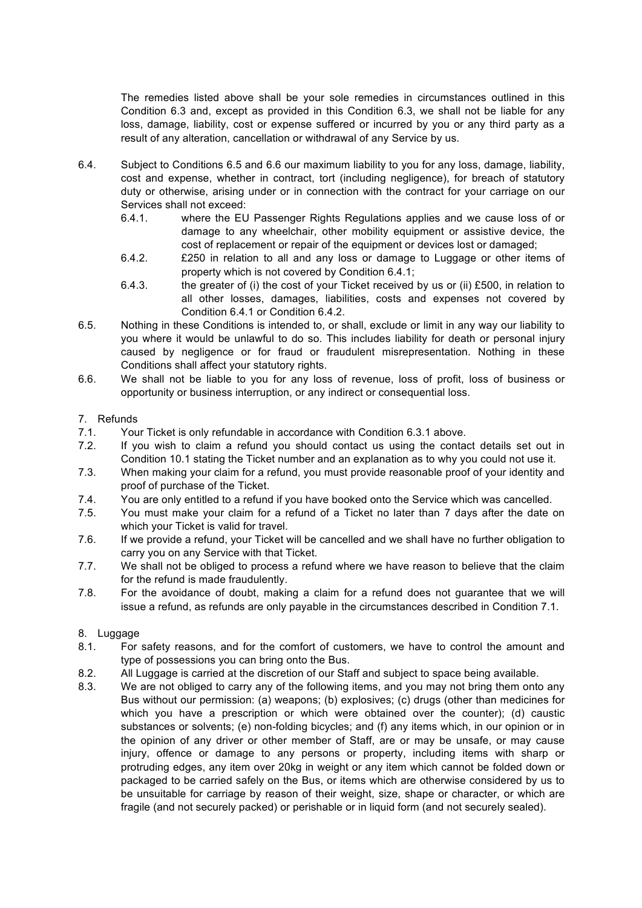The remedies listed above shall be your sole remedies in circumstances outlined in this Condition 6.3 and, except as provided in this Condition 6.3, we shall not be liable for any loss, damage, liability, cost or expense suffered or incurred by you or any third party as a result of any alteration, cancellation or withdrawal of any Service by us.

- 6.4. Subject to Conditions 6.5 and 6.6 our maximum liability to you for any loss, damage, liability, cost and expense, whether in contract, tort (including negligence), for breach of statutory duty or otherwise, arising under or in connection with the contract for your carriage on our Services shall not exceed:
	- 6.4.1. where the EU Passenger Rights Regulations applies and we cause loss of or damage to any wheelchair, other mobility equipment or assistive device, the cost of replacement or repair of the equipment or devices lost or damaged;
	- 6.4.2. £250 in relation to all and any loss or damage to Luggage or other items of property which is not covered by Condition 6.4.1;
	- 6.4.3. the greater of (i) the cost of your Ticket received by us or (ii) £500, in relation to all other losses, damages, liabilities, costs and expenses not covered by Condition 6.4.1 or Condition 6.4.2.
- 6.5. Nothing in these Conditions is intended to, or shall, exclude or limit in any way our liability to you where it would be unlawful to do so. This includes liability for death or personal injury caused by negligence or for fraud or fraudulent misrepresentation. Nothing in these Conditions shall affect your statutory rights.
- 6.6. We shall not be liable to you for any loss of revenue, loss of profit, loss of business or opportunity or business interruption, or any indirect or consequential loss.

# 7. Refunds

- 7.1. Your Ticket is only refundable in accordance with Condition 6.3.1 above.
- 7.2. If you wish to claim a refund you should contact us using the contact details set out in Condition 10.1 stating the Ticket number and an explanation as to why you could not use it.
- 7.3. When making your claim for a refund, you must provide reasonable proof of your identity and proof of purchase of the Ticket.
- 7.4. You are only entitled to a refund if you have booked onto the Service which was cancelled.
- 7.5. You must make your claim for a refund of a Ticket no later than 7 days after the date on which your Ticket is valid for travel.
- 7.6. If we provide a refund, your Ticket will be cancelled and we shall have no further obligation to carry you on any Service with that Ticket.
- 7.7. We shall not be obliged to process a refund where we have reason to believe that the claim for the refund is made fraudulently.
- 7.8. For the avoidance of doubt, making a claim for a refund does not guarantee that we will issue a refund, as refunds are only payable in the circumstances described in Condition 7.1.

## 8. Luggage

- 8.1. For safety reasons, and for the comfort of customers, we have to control the amount and type of possessions you can bring onto the Bus.
- 8.2. All Luggage is carried at the discretion of our Staff and subject to space being available.
- 8.3. We are not obliged to carry any of the following items, and you may not bring them onto any Bus without our permission: (a) weapons; (b) explosives; (c) drugs (other than medicines for which you have a prescription or which were obtained over the counter); (d) caustic substances or solvents; (e) non-folding bicycles; and (f) any items which, in our opinion or in the opinion of any driver or other member of Staff, are or may be unsafe, or may cause injury, offence or damage to any persons or property, including items with sharp or protruding edges, any item over 20kg in weight or any item which cannot be folded down or packaged to be carried safely on the Bus, or items which are otherwise considered by us to be unsuitable for carriage by reason of their weight, size, shape or character, or which are fragile (and not securely packed) or perishable or in liquid form (and not securely sealed).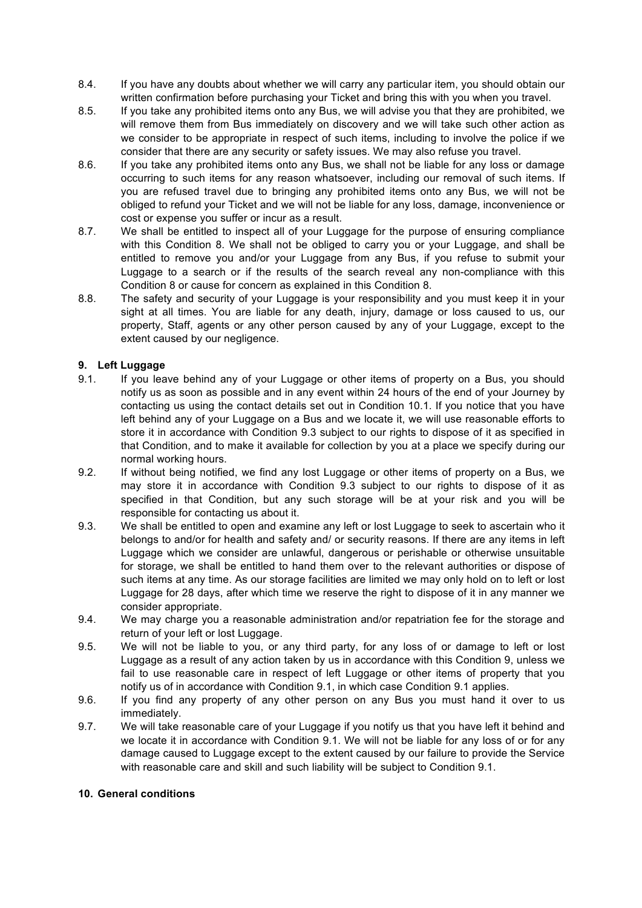- 8.4. If you have any doubts about whether we will carry any particular item, you should obtain our written confirmation before purchasing your Ticket and bring this with you when you travel.
- 8.5. If you take any prohibited items onto any Bus, we will advise you that they are prohibited, we will remove them from Bus immediately on discovery and we will take such other action as we consider to be appropriate in respect of such items, including to involve the police if we consider that there are any security or safety issues. We may also refuse you travel.
- 8.6. If you take any prohibited items onto any Bus, we shall not be liable for any loss or damage occurring to such items for any reason whatsoever, including our removal of such items. If you are refused travel due to bringing any prohibited items onto any Bus, we will not be obliged to refund your Ticket and we will not be liable for any loss, damage, inconvenience or cost or expense you suffer or incur as a result.
- 8.7. We shall be entitled to inspect all of your Luggage for the purpose of ensuring compliance with this Condition 8. We shall not be obliged to carry you or your Luggage, and shall be entitled to remove you and/or your Luggage from any Bus, if you refuse to submit your Luggage to a search or if the results of the search reveal any non-compliance with this Condition 8 or cause for concern as explained in this Condition 8.
- 8.8. The safety and security of your Luggage is your responsibility and you must keep it in your sight at all times. You are liable for any death, injury, damage or loss caused to us, our property, Staff, agents or any other person caused by any of your Luggage, except to the extent caused by our negligence.

# **9. Left Luggage**

- 9.1. If you leave behind any of your Luggage or other items of property on a Bus, you should notify us as soon as possible and in any event within 24 hours of the end of your Journey by contacting us using the contact details set out in Condition 10.1. If you notice that you have left behind any of your Luggage on a Bus and we locate it, we will use reasonable efforts to store it in accordance with Condition 9.3 subject to our rights to dispose of it as specified in that Condition, and to make it available for collection by you at a place we specify during our normal working hours.
- 9.2. If without being notified, we find any lost Luggage or other items of property on a Bus, we may store it in accordance with Condition 9.3 subject to our rights to dispose of it as specified in that Condition, but any such storage will be at your risk and you will be responsible for contacting us about it.
- 9.3. We shall be entitled to open and examine any left or lost Luggage to seek to ascertain who it belongs to and/or for health and safety and/ or security reasons. If there are any items in left Luggage which we consider are unlawful, dangerous or perishable or otherwise unsuitable for storage, we shall be entitled to hand them over to the relevant authorities or dispose of such items at any time. As our storage facilities are limited we may only hold on to left or lost Luggage for 28 days, after which time we reserve the right to dispose of it in any manner we consider appropriate.
- 9.4. We may charge you a reasonable administration and/or repatriation fee for the storage and return of your left or lost Luggage.
- 9.5. We will not be liable to you, or any third party, for any loss of or damage to left or lost Luggage as a result of any action taken by us in accordance with this Condition 9, unless we fail to use reasonable care in respect of left Luggage or other items of property that you notify us of in accordance with Condition 9.1, in which case Condition 9.1 applies.
- 9.6. If you find any property of any other person on any Bus you must hand it over to us immediately.
- 9.7. We will take reasonable care of your Luggage if you notify us that you have left it behind and we locate it in accordance with Condition 9.1. We will not be liable for any loss of or for any damage caused to Luggage except to the extent caused by our failure to provide the Service with reasonable care and skill and such liability will be subject to Condition 9.1.

#### **10. General conditions**